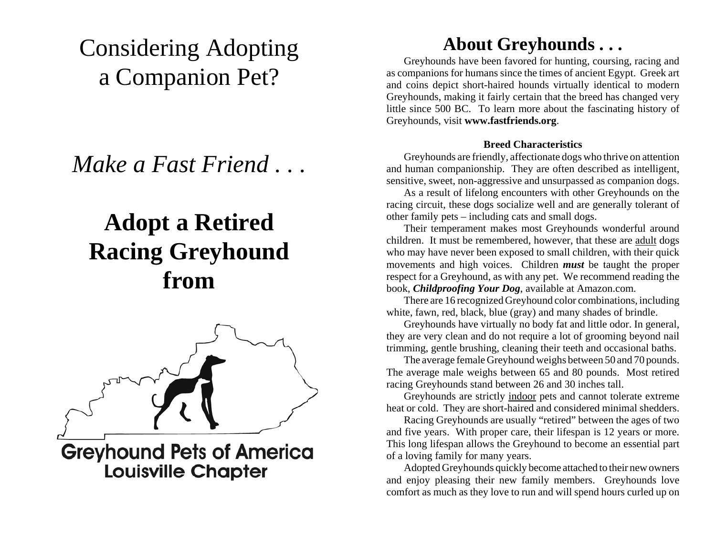# Considering Adopting a Companion Pet?

*Make a Fast Friend . . .*

# **Adopt a Retired Racing Greyhound from**



**Greyhound Pets of America Louisville Chapter** 

## **About Greyhounds . . .**

Greyhounds have been favored for hunting, coursing, racing and as companions for humans since the times of ancient Egypt. Greek art and coins depict short-haired hounds virtually identical to modern Greyhounds, making it fairly certain that the breed has changed very little since 500 BC. To learn more about the fascinating history of Greyhounds, visit **www.fastfriends.org**.

#### **Breed Characteristics**

Greyhounds are friendly, affectionate dogs who thrive on attention and human companionship. They are often described as intelligent, sensitive, sweet, non-aggressive and unsurpassed as companion dogs.

As a result of lifelong encounters with other Greyhounds on the racing circuit, these dogs socialize well and are generally tolerant of other family pets – including cats and small dogs.

Their temperament makes most Greyhounds wonderful around children. It must be remembered, however, that these are adult dogs who may have never been exposed to small children, with their quick movements and high voices. Children *must* be taught the proper respect for a Greyhound, as with any pet. We recommend reading the book, *Childproofing Your Dog*, available at Amazon.com.

There are 16 recognized Greyhound color combinations, including white, fawn, red, black, blue (gray) and many shades of brindle.

Greyhounds have virtually no body fat and little odor. In general, they are very clean and do not require a lot of grooming beyond nail trimming, gentle brushing, cleaning their teeth and occasional baths.

The average female Greyhound weighs between 50 and 70 pounds. The average male weighs between 65 and 80 pounds. Most retired racing Greyhounds stand between 26 and 30 inches tall.

Greyhounds are strictly indoor pets and cannot tolerate extreme heat or cold. They are short-haired and considered minimal shedders.

Racing Greyhounds are usually "retired" between the ages of two and five years. With proper care, their lifespan is 12 years or more. This long lifespan allows the Greyhound to become an essential part of a loving family for many years.

Adopted Greyhounds quickly become attached to their new owners and enjoy pleasing their new family members. Greyhounds love comfort as much as they love to run and will spend hours curled up on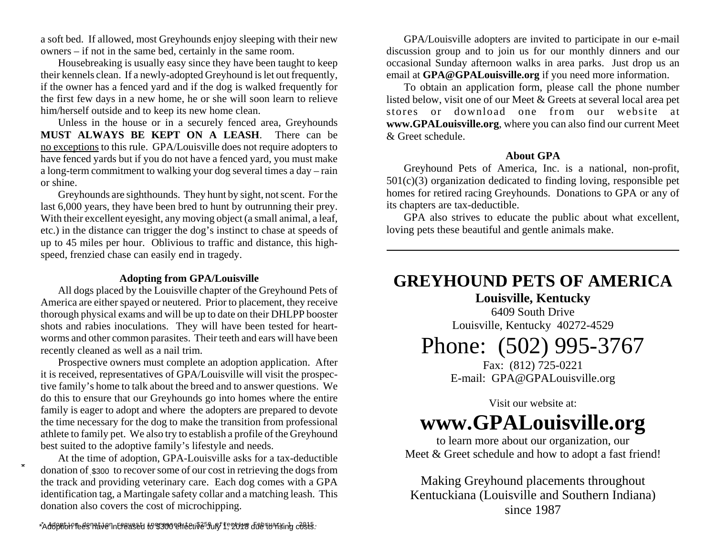a soft bed. If allowed, most Greyhounds enjoy sleeping with their new owners – if not in the same bed, certainly in the same room.

Housebreaking is usually easy since they have been taught to keep their kennels clean. If a newly-adopted Greyhound is let out frequently, if the owner has a fenced yard and if the dog is walked frequently for the first few days in a new home, he or she will soon learn to relieve him/herself outside and to keep its new home clean.

Unless in the house or in a securely fenced area, Greyhounds **MUST ALWAYS BE KEPT ON A LEASH**. There can beno exceptions to this rule. GPA/Louisville does not require adopters to have fenced yards but if you do not have a fenced yard, you must make a long-term commitment to walking your dog several times a day – rain or shine.

Greyhounds are sighthounds. They hunt by sight, not scent. For the last 6,000 years, they have been bred to hunt by outrunning their prey. With their excellent eyesight, any moving object (a small animal, a leaf, etc.) in the distance can trigger the dog's instinct to chase at speeds of up to 45 miles per hour. Oblivious to traffic and distance, this highspeed, frenzied chase can easily end in tragedy.

#### **Adopting from GPA/Louisville**

All dogs placed by the Louisville chapter of the Greyhound Pets of America are either spayed or neutered. Prior to placement, they receive thorough physical exams and will be up to date on their DHLPP booster shots and rabies inoculations. They will have been tested for heartworms and other common parasites. Their teeth and ears will have been recently cleaned as well as a nail trim.

Prospective owners must complete an adoption application. After it is received, representatives of GPA/Louisville will visit the prospective family's home to talk about the breed and to answer questions. We do this to ensure that our Greyhounds go into homes where the entire family is eager to adopt and where the adopters are prepared to devote the time necessary for the dog to make the transition from professional athlete to family pet. We also try to establish a profile of the Greyhound best suited to the adoptive family's lifestyle and needs.

At the time of adoption, GPA-Louisville asks for a tax-deductible donation of \$300 to recover some of our cost in retrieving the dogs from the track and providing veterinary care. Each dog comes with a GPA identification tag, a Martingale safety collar and a matching leash. This donation also covers the cost of microchipping.

GPA/Louisville adopters are invited to participate in our e-mail discussion group and to join us for our monthly dinners and our occasional Sunday afternoon walks in area parks. Just drop us an email at **GPA@GPALouisville.org** if you need more information.

To obtain an application form, please call the phone number listed below, visit one of our Meet & Greets at several local area pet stores or download one from our website at **www.GPALouisville.org**, where you can also find our current Meet & Greet schedule.

#### **About GPA**

Greyhound Pets of America, Inc. is a national, non-profit, 501(c)(3) organization dedicated to finding loving, responsible pet homes for retired racing Greyhounds. Donations to GPA or any of its chapters are tax-deductible.

GPA also strives to educate the public about what excellent, loving pets these beautiful and gentle animals make.

### **GREYHOUND PETS OF AMERICA**

**Louisville, Kentucky**

6409 South DriveLouisville, Kentucky 40272-4529

## Phone: (502) 995-3767

Fax: (812) 725-0221 E-mail: GPA@GPALouisville.org

Visit our website at:**www.GPALouisville.org**

to learn more about our organization, our Meet & Greet schedule and how to adopt a fast friend!

Making Greyhound placements throughout Kentuckiana (Louisville and Southern Indiana) since 1987

Adoption fees have increased to \$300 effective July 1, 2018 due to rising costs.\* \*

\*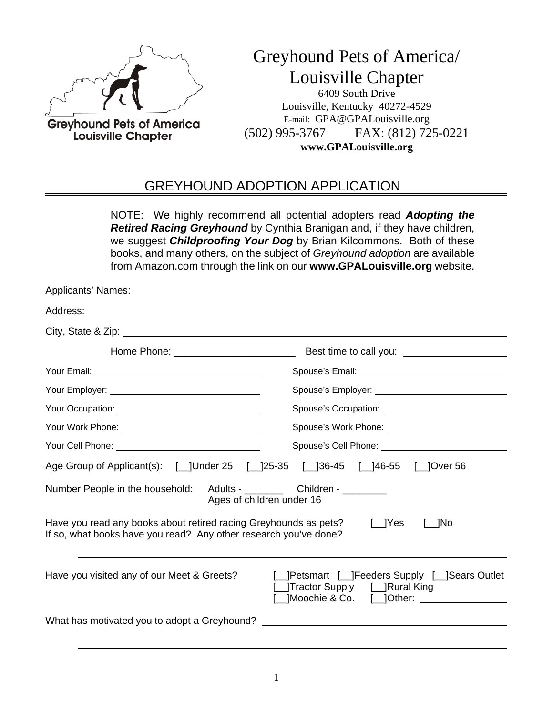

Greyhound Pets of America/ Louisville Chapter

6409 South Drive Louisville, Kentucky 40272-4529 E-mail: GPA@GPALouisville.org (502) 995-3767 FAX: (812) 725-0221 **www.GPALouisville.org**

### GREYHOUND ADOPTION APPLICATION

NOTE: We highly recommend all potential adopters read *Adopting the Retired Racing Greyhound* by Cynthia Branigan and, if they have children, we suggest *Childproofing Your Dog* by Brian Kilcommons. Both of these books, and many others, on the subject of *Greyhound adoption* are available from Amazon.com through the link on our **www.GPALouisville.org** website.

|                                                                                                                                            | Spouse's Cell Phone: Value of the Contract of Spouse's Cell Phone:               |
|--------------------------------------------------------------------------------------------------------------------------------------------|----------------------------------------------------------------------------------|
| Age Group of Applicant(s): [ ]Under 25 [ ]25-35 [ ]36-45 [ ]46-55 [ ]Over 56                                                               |                                                                                  |
| Number People in the household: Adults - __________ Children - ________                                                                    | Ages of children under 16                                                        |
| Have you read any books about retired racing Greyhounds as pets? [JYes<br>If so, what books have you read? Any other research you've done? | $\lfloor$ No                                                                     |
| Have you visited any of our Meet & Greets?                                                                                                 | [_]Petsmart [_]Feeders Supply [_]Sears Outlet<br>[ ]Tractor Supply [ ]Rural King |
| What has motivated you to adopt a Greyhound? ___________________________________                                                           |                                                                                  |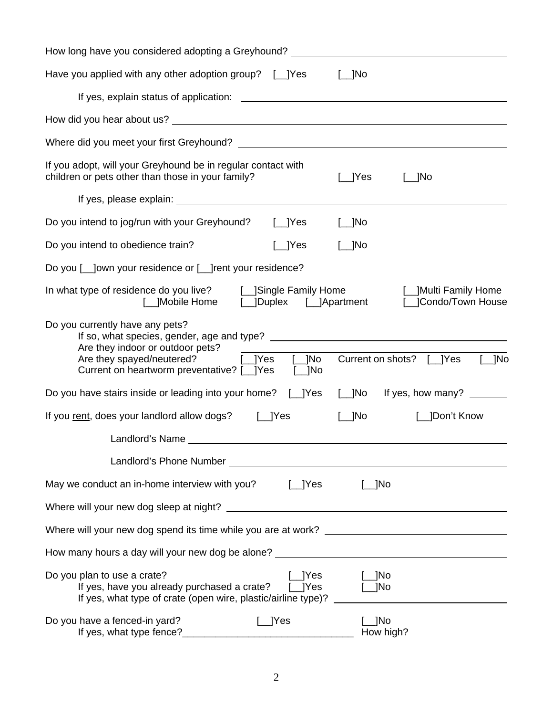| How long have you considered adopting a Greyhound? _____________________________                                                                                                                                                                |
|-------------------------------------------------------------------------------------------------------------------------------------------------------------------------------------------------------------------------------------------------|
| Have you applied with any other adoption group? [_]Yes<br>$\lfloor$ No                                                                                                                                                                          |
|                                                                                                                                                                                                                                                 |
|                                                                                                                                                                                                                                                 |
|                                                                                                                                                                                                                                                 |
| If you adopt, will your Greyhound be in regular contact with<br>children or pets other than those in your family?<br>[__]Yes<br>$\Box$ No                                                                                                       |
|                                                                                                                                                                                                                                                 |
| Do you intend to jog/run with your Greyhound? [1] [2] [2] [2]<br>$\lfloor$ No                                                                                                                                                                   |
| $\lfloor$  Yes<br>$[\_]$ No<br>Do you intend to obedience train?                                                                                                                                                                                |
| Do you [ _ ]own your residence or [ _ ]rent your residence?                                                                                                                                                                                     |
| In what type of residence do you live? [__]Single Family Home<br>[__]Multi Family Home<br>[__]Condo/Town House                                                                                                                                  |
| Do you currently have any pets?<br>Are they indoor or outdoor pets?<br>Are they indoor or outdoor pets?<br>Are they spayed/neutered? [Jes [JNo]<br>Current on shots? [1] Yes<br>$\lfloor$ No<br>Current on heartworm preventative? [_]Yes [_]No |
| Do you have stairs inside or leading into your home? [_]Yes [_]No If yes, how many? ______                                                                                                                                                      |
| If you rent, does your landlord allow dogs? [1] Yes<br>[__]No<br>[__]Don't Know                                                                                                                                                                 |
| Landlord's Name Landlord's Name Landlord's Name Landlord's Name Landlord's Name Landlord's Name Landlord's Name Landlord's Name Landlord's Name Landlord's Name Landlord's Name Landlord's Name Landlord's Name Landlord's Nam                  |
|                                                                                                                                                                                                                                                 |
| $\lfloor$ No                                                                                                                                                                                                                                    |
|                                                                                                                                                                                                                                                 |
|                                                                                                                                                                                                                                                 |
|                                                                                                                                                                                                                                                 |
| Do you plan to use a crate?<br>[__]Yes<br>$\_$ ]No<br>If yes, have you already purchased a crate? [_]Yes<br>$\lfloor$ No<br>If yes, what type of crate (open wire, plastic/airline type)?                                                       |
| Do you have a fenced-in yard?<br>$\lfloor$ Yes<br>l INo                                                                                                                                                                                         |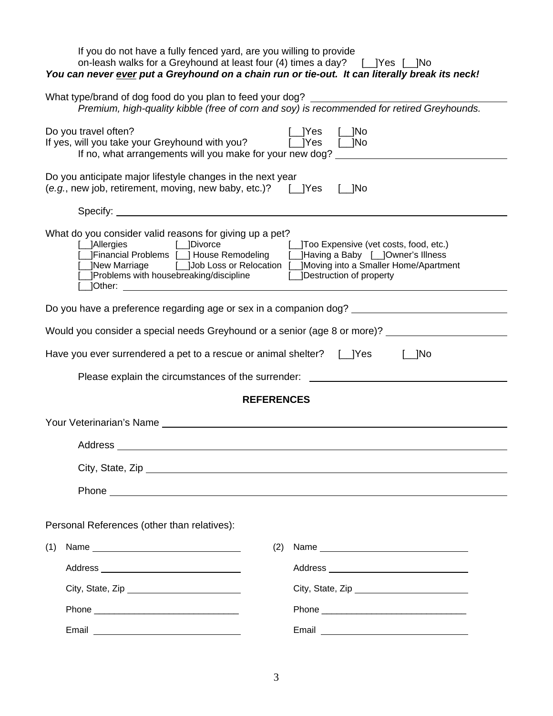| If you do not have a fully fenced yard, are you willing to provide<br>on-leash walks for a Greyhound at least four (4) times a day? [1] Yes [1] No<br>You can never ever put a Greyhound on a chain run or tie-out. It can literally break its neck!                                               |                                                                                                                                                                                                                                |  |  |
|----------------------------------------------------------------------------------------------------------------------------------------------------------------------------------------------------------------------------------------------------------------------------------------------------|--------------------------------------------------------------------------------------------------------------------------------------------------------------------------------------------------------------------------------|--|--|
| What type/brand of dog food do you plan to feed your dog? ______________________<br>Premium, high-quality kibble (free of corn and soy) is recommended for retired Greyhounds.                                                                                                                     |                                                                                                                                                                                                                                |  |  |
| Do you travel often?<br>If yes, will you take your Greyhound with you? [JYes [JNo]<br>If no, what arrangements will you make for your new dog?                                                                                                                                                     | $[\ ]$ Yes $[\ ]$ No                                                                                                                                                                                                           |  |  |
| Do you anticipate major lifestyle changes in the next year<br>(e.g., new job, retirement, moving, new baby, etc.)? [1] Yes                                                                                                                                                                         | $\lbrack \quad \quad \rbrack$ No                                                                                                                                                                                               |  |  |
|                                                                                                                                                                                                                                                                                                    |                                                                                                                                                                                                                                |  |  |
| What do you consider valid reasons for giving up a pet?<br>JFinancial Problems [ J House Remodeling [ J Having a Baby [ J Owner's Illness<br>[New Marriage [DJob Loss or Relocation [DJMoving into a Smaller Home/Apartment<br>_JProblems with housebreaking/discipline [_JDestruction of property | [_]Too Expensive (vet costs, food, etc.)                                                                                                                                                                                       |  |  |
|                                                                                                                                                                                                                                                                                                    |                                                                                                                                                                                                                                |  |  |
| Would you consider a special needs Greyhound or a senior (age 8 or more)? ______________                                                                                                                                                                                                           |                                                                                                                                                                                                                                |  |  |
| Have you ever surrendered a pet to a rescue or animal shelter? [1] Yes [1] No                                                                                                                                                                                                                      |                                                                                                                                                                                                                                |  |  |
| Please explain the circumstances of the surrender: _____________________________                                                                                                                                                                                                                   |                                                                                                                                                                                                                                |  |  |
| <b>REFERENCES</b>                                                                                                                                                                                                                                                                                  |                                                                                                                                                                                                                                |  |  |
|                                                                                                                                                                                                                                                                                                    |                                                                                                                                                                                                                                |  |  |
| Address                                                                                                                                                                                                                                                                                            |                                                                                                                                                                                                                                |  |  |
|                                                                                                                                                                                                                                                                                                    |                                                                                                                                                                                                                                |  |  |
|                                                                                                                                                                                                                                                                                                    |                                                                                                                                                                                                                                |  |  |
|                                                                                                                                                                                                                                                                                                    |                                                                                                                                                                                                                                |  |  |
| Personal References (other than relatives):                                                                                                                                                                                                                                                        |                                                                                                                                                                                                                                |  |  |
| (1)<br>(2)                                                                                                                                                                                                                                                                                         | Name                                                                                                                                                                                                                           |  |  |
|                                                                                                                                                                                                                                                                                                    |                                                                                                                                                                                                                                |  |  |
| City, State, Zip                                                                                                                                                                                                                                                                                   | City, State, Zip                                                                                                                                                                                                               |  |  |
|                                                                                                                                                                                                                                                                                                    |                                                                                                                                                                                                                                |  |  |
|                                                                                                                                                                                                                                                                                                    | Email experience and the set of the set of the set of the set of the set of the set of the set of the set of the set of the set of the set of the set of the set of the set of the set of the set of the set of the set of the |  |  |

3